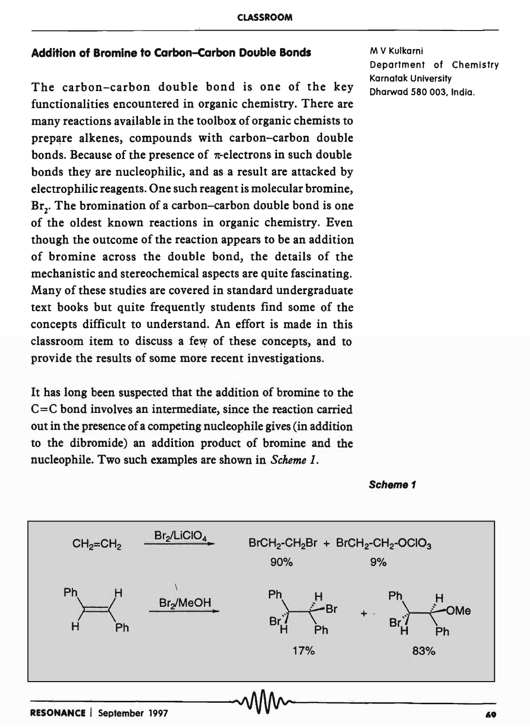# Addition of Bromine to Carbon-Carbon Double Bonds

The carbon-carbon double bond is one of the key functionalities encountered in organic chemistry. There are many reactions available in the toolbox of organic chemists to prepare alkenes, compounds with carbon-carbon double bonds. Because of the presence of  $\pi$ -electrons in such double bonds they are nucleophilic, and as a result are attacked by electrophilic reagents. One such reagent is molecular bromine, Br.. The bromination of a carbon-carbon double bond is one of the oldest known reactions in organic chemistry. Even though the outcome of the reaction appears to be an addition of bromine across the double bond, the details of the mechanistic and stereochemical aspects are quite fascinating. Many of these studies are covered in standard undergraduate text books but quite frequently students find some of the concepts difficult to understand. An effort is made in this classroom item to discuss a few of these concepts, and to provide the results of some more recent investigations.

It has long been suspected that the addition of bromine to the C=C bond involves an intermediate, since the reaction carried out in the presence of a competing nucleophile gives (in addition to the dibromide) an addition product of bromine and the nucleophile. Two such examples are shown in *Scheme 1*.

M V Kulkarni Department of Chemistry Karnatak University Dharwad 580 003, India.



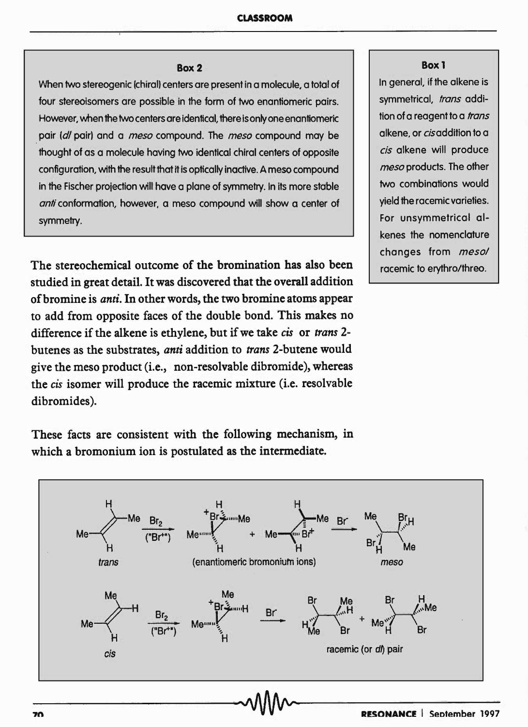## Box 2

When two stereogenic (chiral) centers are present in a molecule, a total of four stereoisomers are possible in the form of two enantiomeric pairs. However, when the two centers are identical, there is only one enantiomeric . pair (d/ pair) and a *meso* compound. The *meso* compound may be thought of as a molecule having two identical chiral centers of opposite configuration, with the result that it is optically inactive. A meso compound in the Fischer projection will have a plane of symmetry. In its more stable anti conformation, however, a meso compound will show a center of symmetry.

The stereochemical outcome of the bromination has also been studied in great detail. It was discovered that the overall addition of bromine is *anti.* In other words, the two bromine atoms appear to add from opposite faces of the double bond. This makes no difference if the alkene is ethylene, but if we take *cis* or *trans* 2 butenes as the substrates, *anti* addition to *trans* 2-butene would give the meso product (i.e., non-resolvable dibromide), whereas the *cis* isomer will produce the racemic mixture (i.e. resolvable dibromides).

These facts are consistent with the following mechanism, in which a bromonium ion is postulated as the intermediate.

#### Box 1

In general, if the alkene is symmetrical, trans addition of a reagent to a *trans* alkene, or cisaddition to a *cis* alkene will produce *meso* products. The other two combinations would yield the racemic varieties. For unsymmetrical alkenes the nomenclature changes from *mesol*  racemic to erythro/threo.

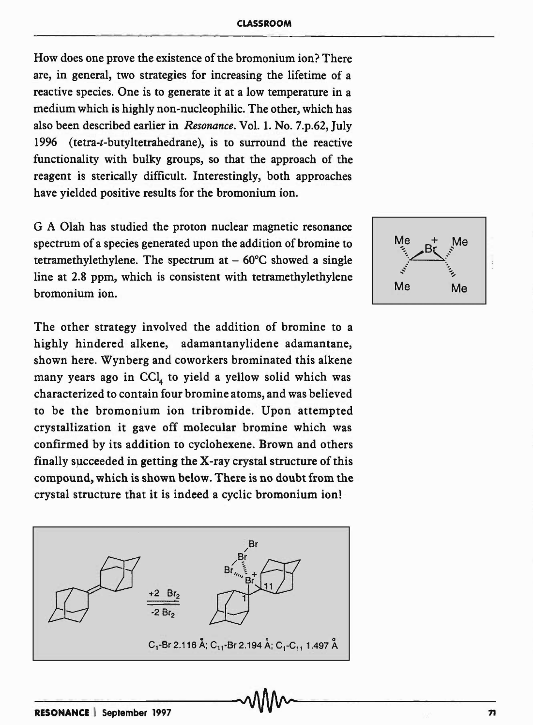How does one prove the existence of the bromonium ion? There are, in general, two strategies for increasing the lifetime of a reactive species. One is to generate it at a low temperature in a medium which is highly non-nucleophilic. The other, which has also been described earlier in *Resonance.* Vol. 1. No. 7.p.62, July 1996 (tetra-t-butyltetrahedrane), is to surround the reactive functionality with bulky groups, so that the approach of the reagent is sterically difficult. Interestingly, both approaches have yielded positive results for the bromonium ion.

G A Olah has studied the proton nuclear magnetic resonance spectrum of a species generated upon the addition of bromine to tetramethylethylene. The spectrum at  $-60^{\circ}$ C showed a single line at 2.8 ppm, which is consistent with tetramethylethylene bromonium ion.

The other strategy involved the addition of bromine to a highly hindered alkene, adamantanylidene adamantane, shown here. Wynberg and coworkers brominated this alkene many years ago in CCl, to yield a yellow solid which was characterized to contain four bromine atoms, and was believed to be the bromonium ion tribromide. Upon attempted crystallization it gave off molecular bromine which was confirmed by its addition to cyclohexene. Brown and others finally succeeded in getting the  $X$ -ray crystal structure of this compound, which is shown below. There is no doubt from the crystal structure that it is indeed a cyclic bromonium ion!